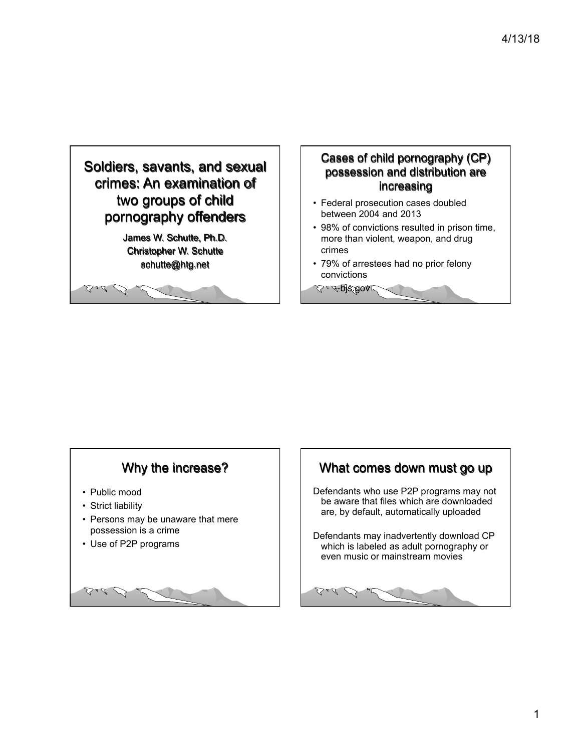

#### Cases of child pornography (CP) possession and distribution are increasing

- Federal prosecution cases doubled between 2004 and 2013
- 98% of convictions resulted in prison time, more than violent, weapon, and drug crimes
- 79% of arrestees had no prior felony convictions

 $2.4$ -pjs.gov

#### Why the increase?

- Public mood
- Strict liability
- Persons may be unaware that mere possession is a crime
- Use of P2P programs



#### What comes down must go up

Defendants who use P2P programs may not be aware that files which are downloaded are, by default, automatically uploaded

Defendants may inadvertently download CP which is labeled as adult pornography or even music or mainstream movies

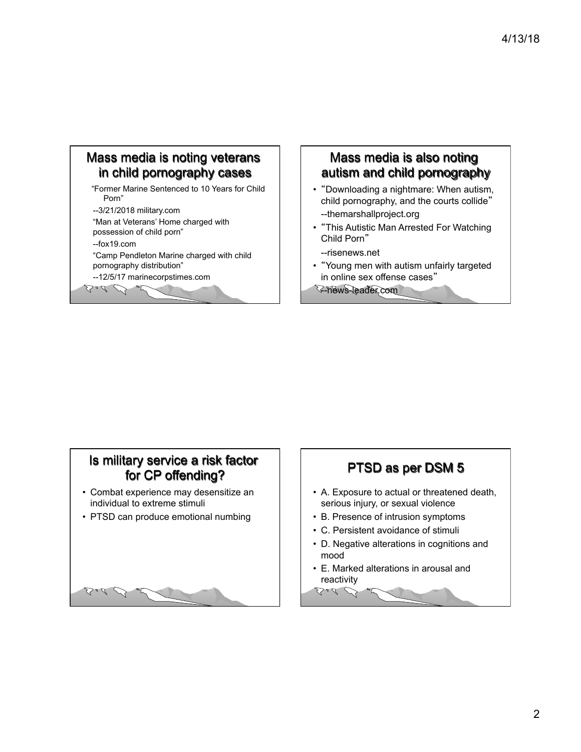### Mass media is noting veterans in child pornography cases

 "Former Marine Sentenced to 10 Years for Child Porn"

--3/21/2018 military.com

"Man at Veterans' Home charged with

possession of child porn"

--fox19.com

Ball D

Bad B

"Camp Pendleton Marine charged with child pornography distribution"

--12/5/17 marinecorpstimes.com

#### Mass media is also noting autism and child pornography

- "Downloading a nightmare: When autism, child pornography, and the courts collide" --themarshallproject.org
- "This Autistic Man Arrested For Watching Child Porn"

--risenews.net

• "Young men with autism unfairly targeted in online sex offense cases"

--news-leader.com

### Is military service a risk factor for CP offending?

- Combat experience may desensitize an individual to extreme stimuli
- PTSD can produce emotional numbing

# PTSD as per DSM 5

- A. Exposure to actual or threatened death, serious injury, or sexual violence
- B. Presence of intrusion symptoms
- C. Persistent avoidance of stimuli
- D. Negative alterations in cognitions and mood
- E. Marked alterations in arousal and reactivity Bad D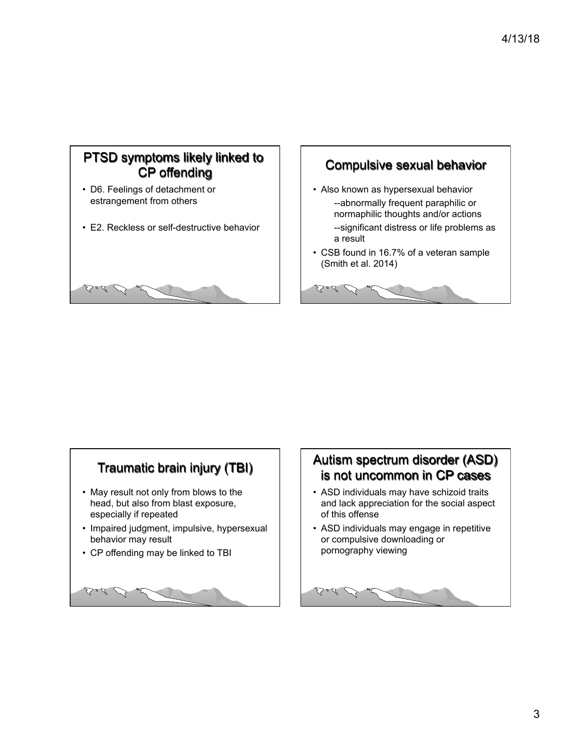# PTSD symptoms likely linked to CP offending

- D6. Feelings of detachment or estrangement from others
- E2. Reckless or self-destructive behavior





- Also known as hypersexual behavior --abnormally frequent paraphilic or normaphilic thoughts and/or actions --significant distress or life problems as a result
- CSB found in 16.7% of a veteran sample (Smith et al. 2014)

 $\sum a \mathcal{L}$ 

#### Traumatic brain injury (TBI)

- May result not only from blows to the head, but also from blast exposure, especially if repeated
- Impaired judgment, impulsive, hypersexual behavior may result
- CP offending may be linked to TBI



### Autism spectrum disorder (ASD) is not uncommon in CP cases

- ASD individuals may have schizoid traits and lack appreciation for the social aspect of this offense
- ASD individuals may engage in repetitive or compulsive downloading or pornography viewing

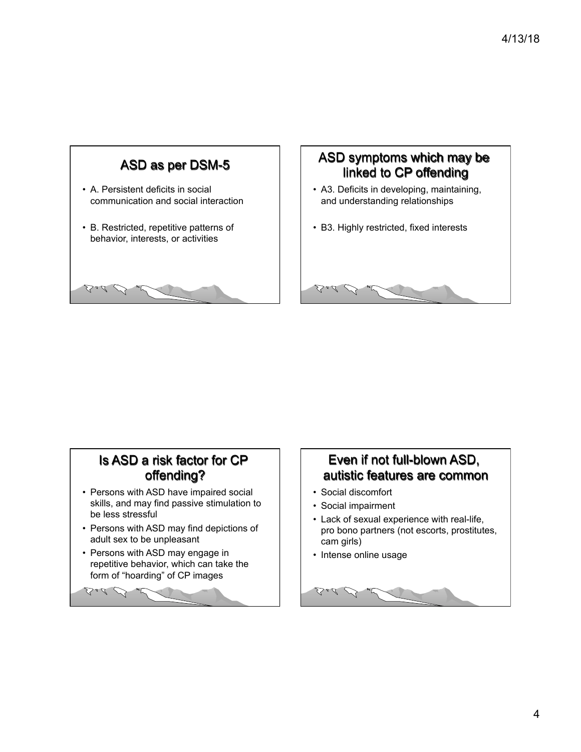

#### ASD symptoms which may be linked to CP offending

- A3. Deficits in developing, maintaining, and understanding relationships
- B3. Highly restricted, fixed interests

#### Is ASD a risk factor for CP offending?

- Persons with ASD have impaired social skills, and may find passive stimulation to be less stressful
- Persons with ASD may find depictions of adult sex to be unpleasant
- Persons with ASD may engage in repetitive behavior, which can take the form of "hoarding" of CP images

# $\Delta$ al  $\mathcal{O}$

## Even if not full-blown ASD, autistic features are common

• Social discomfort

Bad D

- Social impairment
- Lack of sexual experience with real-life, pro bono partners (not escorts, prostitutes, cam girls)
- Intense online usage

Bad B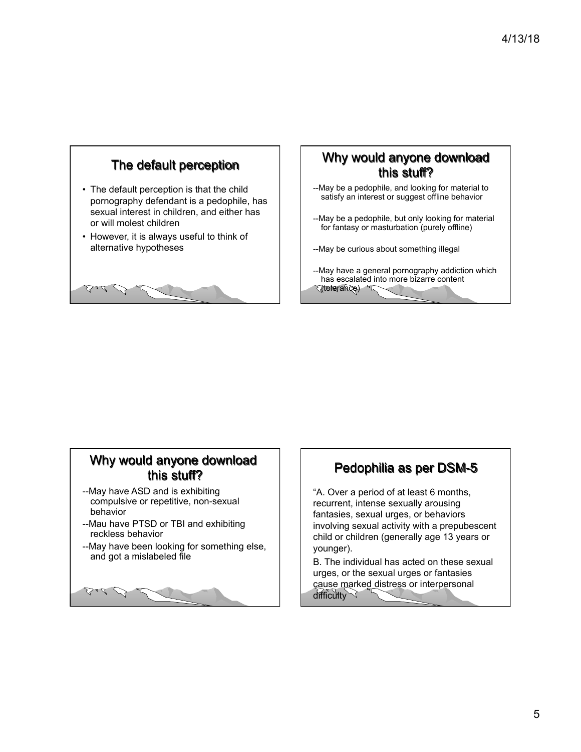

#### Why would anyone download this stuff?

- --May be a pedophile, and looking for material to satisfy an interest or suggest offline behavior
- --May be a pedophile, but only looking for material for fantasy or masturbation (purely offline)
- --May be curious about something illegal
- --May have a general pornography addiction which has escalated into more bizarre content (tolerance)

#### Why would anyone download this stuff?

- --May have ASD and is exhibiting compulsive or repetitive, non-sexual behavior
- --Mau have PTSD or TBI and exhibiting reckless behavior
- --May have been looking for something else, and got a mislabeled file



#### Pedophilia as per DSM-5

"A. Over a period of at least 6 months, recurrent, intense sexually arousing fantasies, sexual urges, or behaviors involving sexual activity with a prepubescent child or children (generally age 13 years or younger).

B. The individual has acted on these sexual urges, or the sexual urges or fantasies cause marked distress or interpersonal difficulty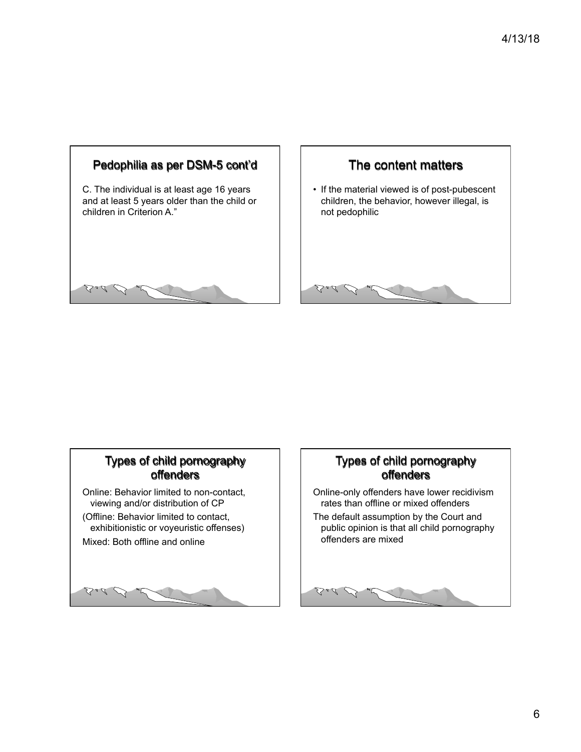



• If the material viewed is of post-pubescent children, the behavior, however illegal, is not pedophilic

Ball D

#### Types of child pornography offenders

Online: Behavior limited to non-contact, viewing and/or distribution of CP (Offline: Behavior limited to contact, exhibitionistic or voyeuristic offenses) Mixed: Both offline and online



#### Types of child pornography offenders

Online-only offenders have lower recidivism rates than offline or mixed offenders The default assumption by the Court and public opinion is that all child pornography offenders are mixed

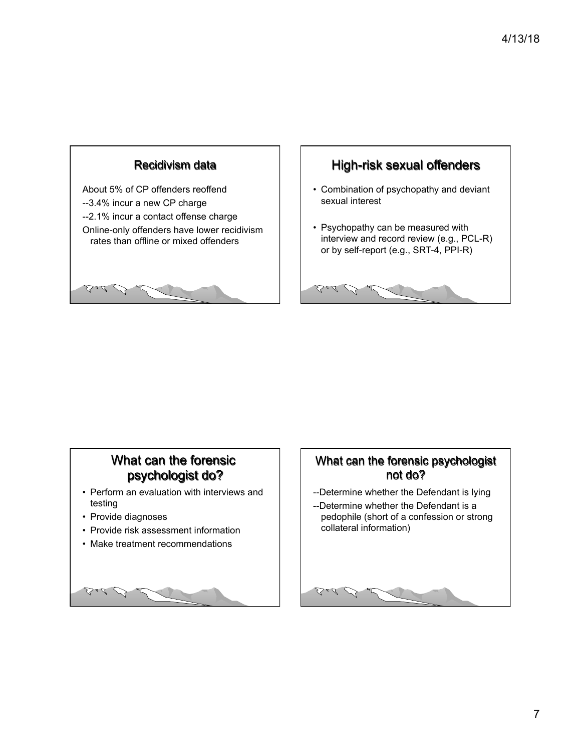

# High-risk sexual offenders

- Combination of psychopathy and deviant sexual interest
- Psychopathy can be measured with interview and record review (e.g., PCL-R) or by self-report (e.g., SRT-4, PPI-R)

Bad L

#### What can the forensic psychologist do?

- Perform an evaluation with interviews and testing
- Provide diagnoses
- Provide risk assessment information
- Make treatment recommendations



#### What can the forensic psychologist not do?

- --Determine whether the Defendant is lying
- --Determine whether the Defendant is a pedophile (short of a confession or strong collateral information)

# Bad B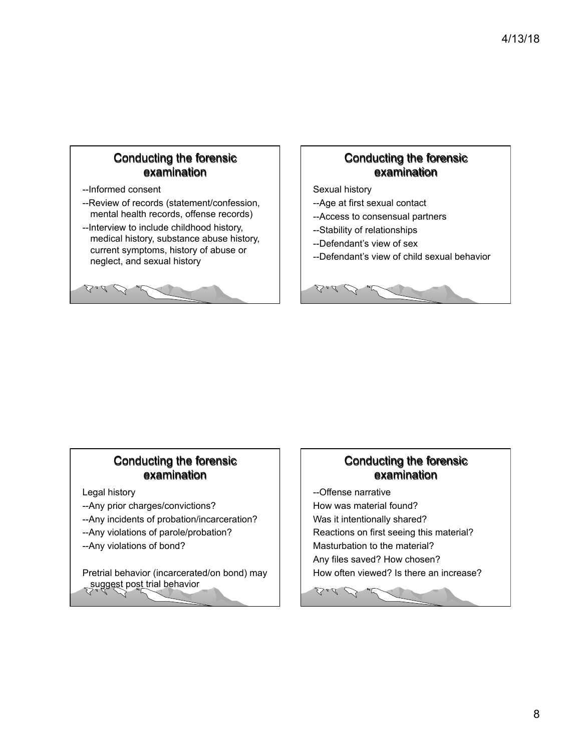#### Conducting the forensic examination

--Informed consent

Ball D

- --Review of records (statement/confession, mental health records, offense records)
- --Interview to include childhood history, medical history, substance abuse history, current symptoms, history of abuse or neglect, and sexual history

#### Conducting the forensic examination

Sexual history

Bad P

Ball D

- --Age at first sexual contact
- --Access to consensual partners
- --Stability of relationships
- --Defendant's view of sex
- --Defendant's view of child sexual behavior

#### Conducting the forensic examination

Legal history

- --Any prior charges/convictions?
- --Any incidents of probation/incarceration?
- --Any violations of parole/probation?
- --Any violations of bond?

Pretrial behavior (incarcerated/on bond) may suggest post trial behavior

#### Conducting the forensic examination

--Offense narrative How was material found? Was it intentionally shared? Reactions on first seeing this material? Masturbation to the material? Any files saved? How chosen? How often viewed? Is there an increase?

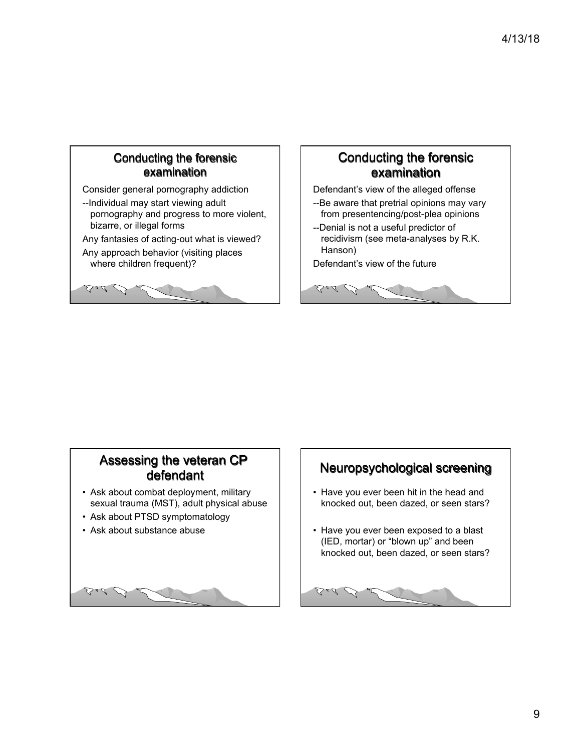#### Conducting the forensic examination

Consider general pornography addiction

--Individual may start viewing adult pornography and progress to more violent, bizarre, or illegal forms

Any fantasies of acting-out what is viewed?

Any approach behavior (visiting places where children frequent)?

Ball D

#### Conducting the forensic examination

Defendant's view of the alleged offense

- --Be aware that pretrial opinions may vary from presentencing/post-plea opinions
- --Denial is not a useful predictor of recidivism (see meta-analyses by R.K. Hanson)

Defendant's view of the future

Bad D

#### Assessing the veteran CP defendant

- Ask about combat deployment, military sexual trauma (MST), adult physical abuse
- Ask about PTSD symptomatology
- Ask about substance abuse



# Neuropsychological screening

- Have you ever been hit in the head and knocked out, been dazed, or seen stars?
- Have you ever been exposed to a blast (IED, mortar) or "blown up" and been knocked out, been dazed, or seen stars?

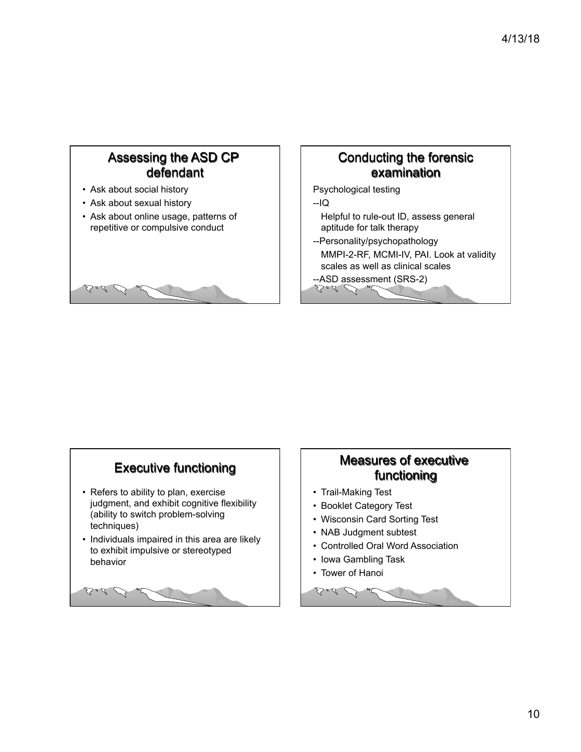#### Assessing the ASD CP defendant

- Ask about social history
- Ask about sexual history
- Ask about online usage, patterns of repetitive or compulsive conduct



#### Conducting the forensic examination

Psychological testing

--IQ

- Helpful to rule-out ID, assess general aptitude for talk therapy
- --Personality/psychopathology MMPI-2-RF, MCMI-IV, PAI. Look at validity scales as well as clinical scales

 $-$ ASD assessment (SRS-2)

# Executive functioning

- Refers to ability to plan, exercise judgment, and exhibit cognitive flexibility (ability to switch problem-solving techniques)
- Individuals impaired in this area are likely to exhibit impulsive or stereotyped behavior



#### Measures of executive functioning

- Trail-Making Test
- Booklet Category Test
- Wisconsin Card Sorting Test
- NAB Judgment subtest
- Controlled Oral Word Association
- Iowa Gambling Task
- Tower of Hanoi

Bad B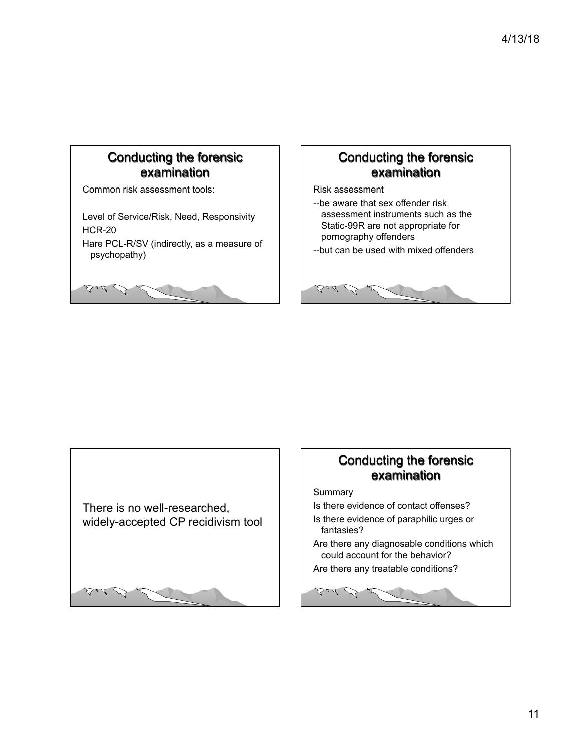#### Conducting the forensic examination

Common risk assessment tools:

Bad B

Level of Service/Risk, Need, Responsivity HCR-20 Hare PCL-R/SV (indirectly, as a measure of psychopathy)

Bad B

## Conducting the forensic examination

Risk assessment

Bad D

--be aware that sex offender risk assessment instruments such as the Static-99R are not appropriate for pornography offenders

--but can be used with mixed offenders



#### Conducting the forensic examination

**Summary** 

- Is there evidence of contact offenses?
- Is there evidence of paraphilic urges or fantasies?
- Are there any diagnosable conditions which could account for the behavior?

Are there any treatable conditions?